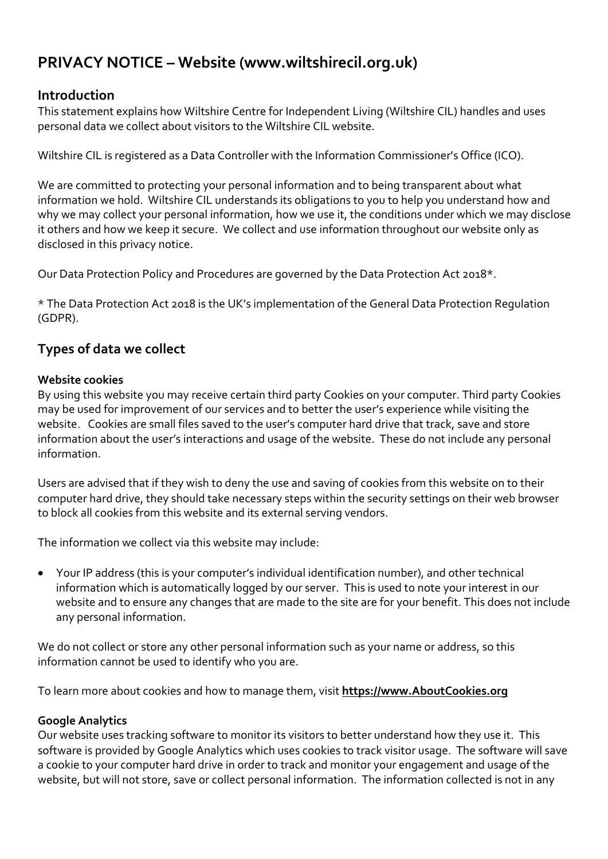# **PRIVACY NOTICE – Website (www.wiltshirecil.org.uk)**

## **Introduction**

This statement explains how Wiltshire Centre for Independent Living (Wiltshire CIL) handles and uses personal data we collect about visitors to the Wiltshire CIL website.

Wiltshire CIL is registered as a Data Controller with the Information Commissioner's Office (ICO).

We are committed to protecting your personal information and to being transparent about what information we hold. Wiltshire CIL understands its obligations to you to help you understand how and why we may collect your personal information, how we use it, the conditions under which we may disclose it others and how we keep it secure. We collect and use information throughout our website only as disclosed in this privacy notice.

Our Data Protection Policy and Procedures are governed by the Data Protection Act 2018\*.

\* The Data Protection Act 2018 is the UK's implementation of the General Data Protection Regulation (GDPR).

## **Types of data we collect**

## **Website cookies**

By using this website you may receive certain third party Cookies on your computer. Third party Cookies may be used for improvement of our services and to better the user's experience while visiting the website. Cookies are small files saved to the user's computer hard drive that track, save and store information about the user's interactions and usage of the website. These do not include any personal information.

Users are advised that if they wish to deny the use and saving of cookies from this website on to their computer hard drive, they should take necessary steps within the security settings on their web browser to block all cookies from this website and its external serving vendors.

The information we collect via this website may include:

• Your IP address (this is your computer's individual identification number), and other technical information which is automatically logged by our server. This is used to note your interest in our website and to ensure any changes that are made to the site are for your benefit. This does not include any personal information.

We do not collect or store any other personal information such as your name or address, so this information cannot be used to identify who you are.

To learn more about cookies and how to manage them, visit **https://www.AboutCookies.org**

## **Google Analytics**

Our website uses tracking software to monitor its visitors to better understand how they use it. This software is provided by Google Analytics which uses cookies to track visitor usage. The software will save a cookie to your computer hard drive in order to track and monitor your engagement and usage of the website, but will not store, save or collect personal information. The information collected is not in any